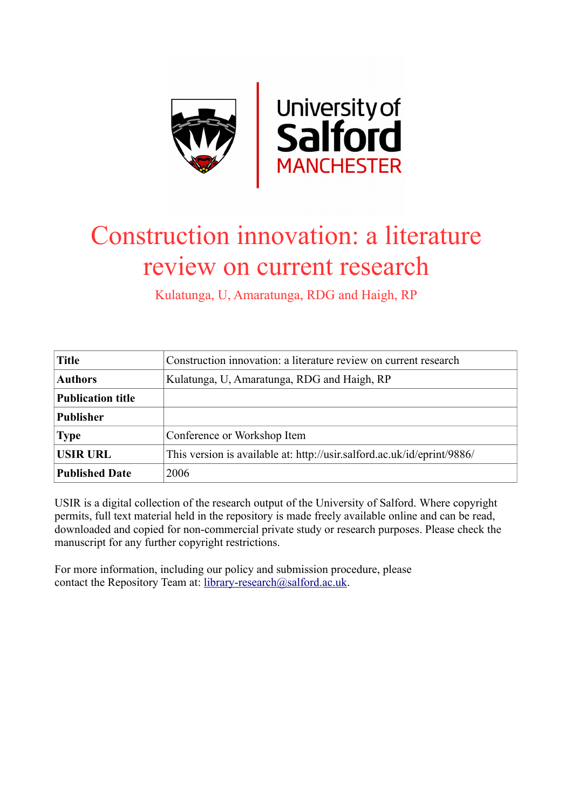

# Construction innovation: a literature review on current research

Kulatunga, U, Amaratunga, RDG and Haigh, RP

| <b>Title</b>             | Construction innovation: a literature review on current research        |
|--------------------------|-------------------------------------------------------------------------|
| <b>Authors</b>           | Kulatunga, U, Amaratunga, RDG and Haigh, RP                             |
| <b>Publication title</b> |                                                                         |
| <b>Publisher</b>         |                                                                         |
| <b>Type</b>              | Conference or Workshop Item                                             |
| <b>USIR URL</b>          | This version is available at: http://usir.salford.ac.uk/id/eprint/9886/ |
| <b>Published Date</b>    | 2006                                                                    |

USIR is a digital collection of the research output of the University of Salford. Where copyright permits, full text material held in the repository is made freely available online and can be read, downloaded and copied for non-commercial private study or research purposes. Please check the manuscript for any further copyright restrictions.

For more information, including our policy and submission procedure, please contact the Repository Team at: [library-research@salford.ac.uk.](mailto:library-research@salford.ac.uk)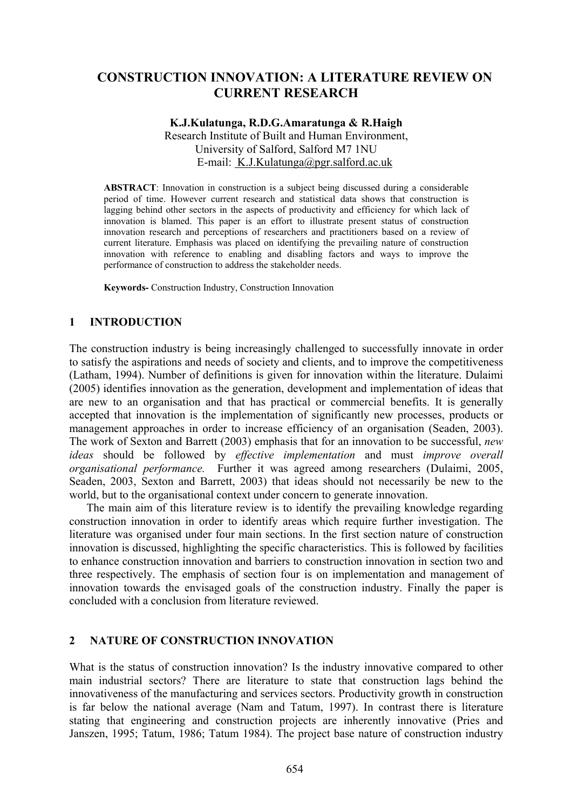# **CONSTRUCTION INNOVATION: A LITERATURE REVIEW ON CURRENT RESEARCH**

#### **K.J.Kulatunga, R.D.G.Amaratunga & R.Haigh**

Research Institute of Built and Human Environment, University of Salford, Salford M7 1NU E-mail: K.J.Kulatunga@pgr.salford.ac.uk

**ABSTRACT**: Innovation in construction is a subject being discussed during a considerable period of time. However current research and statistical data shows that construction is lagging behind other sectors in the aspects of productivity and efficiency for which lack of innovation is blamed. This paper is an effort to illustrate present status of construction innovation research and perceptions of researchers and practitioners based on a review of current literature. Emphasis was placed on identifying the prevailing nature of construction innovation with reference to enabling and disabling factors and ways to improve the performance of construction to address the stakeholder needs.

**Keywords-** Construction Industry, Construction Innovation

# **1 INTRODUCTION**

The construction industry is being increasingly challenged to successfully innovate in order to satisfy the aspirations and needs of society and clients, and to improve the competitiveness (Latham, 1994). Number of definitions is given for innovation within the literature. Dulaimi (2005) identifies innovation as the generation, development and implementation of ideas that are new to an organisation and that has practical or commercial benefits. It is generally accepted that innovation is the implementation of significantly new processes, products or management approaches in order to increase efficiency of an organisation (Seaden, 2003). The work of Sexton and Barrett (2003) emphasis that for an innovation to be successful, *new ideas* should be followed by *effective implementation* and must *improve overall organisational performance.* Further it was agreed among researchers (Dulaimi, 2005, Seaden, 2003, Sexton and Barrett, 2003) that ideas should not necessarily be new to the world, but to the organisational context under concern to generate innovation.

The main aim of this literature review is to identify the prevailing knowledge regarding construction innovation in order to identify areas which require further investigation. The literature was organised under four main sections. In the first section nature of construction innovation is discussed, highlighting the specific characteristics. This is followed by facilities to enhance construction innovation and barriers to construction innovation in section two and three respectively. The emphasis of section four is on implementation and management of innovation towards the envisaged goals of the construction industry. Finally the paper is concluded with a conclusion from literature reviewed.

# **2 NATURE OF CONSTRUCTION INNOVATION**

What is the status of construction innovation? Is the industry innovative compared to other main industrial sectors? There are literature to state that construction lags behind the innovativeness of the manufacturing and services sectors. Productivity growth in construction is far below the national average (Nam and Tatum, 1997). In contrast there is literature stating that engineering and construction projects are inherently innovative (Pries and Janszen, 1995; Tatum, 1986; Tatum 1984). The project base nature of construction industry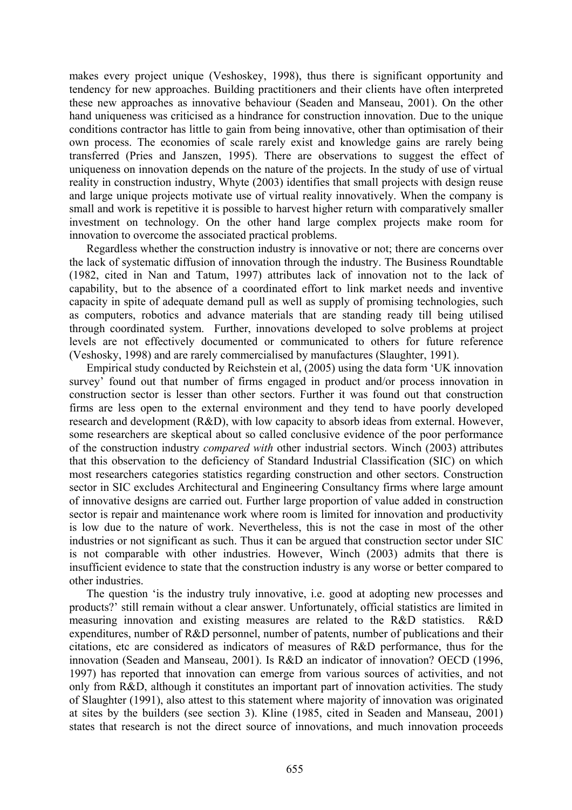makes every project unique (Veshoskey, 1998), thus there is significant opportunity and tendency for new approaches. Building practitioners and their clients have often interpreted these new approaches as innovative behaviour (Seaden and Manseau, 2001). On the other hand uniqueness was criticised as a hindrance for construction innovation. Due to the unique conditions contractor has little to gain from being innovative, other than optimisation of their own process. The economies of scale rarely exist and knowledge gains are rarely being transferred (Pries and Janszen, 1995). There are observations to suggest the effect of uniqueness on innovation depends on the nature of the projects. In the study of use of virtual reality in construction industry, Whyte (2003) identifies that small projects with design reuse and large unique projects motivate use of virtual reality innovatively. When the company is small and work is repetitive it is possible to harvest higher return with comparatively smaller investment on technology. On the other hand large complex projects make room for innovation to overcome the associated practical problems.

Regardless whether the construction industry is innovative or not; there are concerns over the lack of systematic diffusion of innovation through the industry. The Business Roundtable (1982, cited in Nan and Tatum, 1997) attributes lack of innovation not to the lack of capability, but to the absence of a coordinated effort to link market needs and inventive capacity in spite of adequate demand pull as well as supply of promising technologies, such as computers, robotics and advance materials that are standing ready till being utilised through coordinated system. Further, innovations developed to solve problems at project levels are not effectively documented or communicated to others for future reference (Veshosky, 1998) and are rarely commercialised by manufactures (Slaughter, 1991).

Empirical study conducted by Reichstein et al, (2005) using the data form 'UK innovation survey' found out that number of firms engaged in product and/or process innovation in construction sector is lesser than other sectors. Further it was found out that construction firms are less open to the external environment and they tend to have poorly developed research and development (R&D), with low capacity to absorb ideas from external. However, some researchers are skeptical about so called conclusive evidence of the poor performance of the construction industry *compared with* other industrial sectors. Winch (2003) attributes that this observation to the deficiency of Standard Industrial Classification (SIC) on which most researchers categories statistics regarding construction and other sectors. Construction sector in SIC excludes Architectural and Engineering Consultancy firms where large amount of innovative designs are carried out. Further large proportion of value added in construction sector is repair and maintenance work where room is limited for innovation and productivity is low due to the nature of work. Nevertheless, this is not the case in most of the other industries or not significant as such. Thus it can be argued that construction sector under SIC is not comparable with other industries. However, Winch (2003) admits that there is insufficient evidence to state that the construction industry is any worse or better compared to other industries.

The question 'is the industry truly innovative, i.e. good at adopting new processes and products?' still remain without a clear answer. Unfortunately, official statistics are limited in measuring innovation and existing measures are related to the R&D statistics. R&D expenditures, number of R&D personnel, number of patents, number of publications and their citations, etc are considered as indicators of measures of R&D performance, thus for the innovation (Seaden and Manseau, 2001). Is R&D an indicator of innovation? OECD (1996, 1997) has reported that innovation can emerge from various sources of activities, and not only from R&D, although it constitutes an important part of innovation activities. The study of Slaughter (1991), also attest to this statement where majority of innovation was originated at sites by the builders (see section 3). Kline (1985, cited in Seaden and Manseau, 2001) states that research is not the direct source of innovations, and much innovation proceeds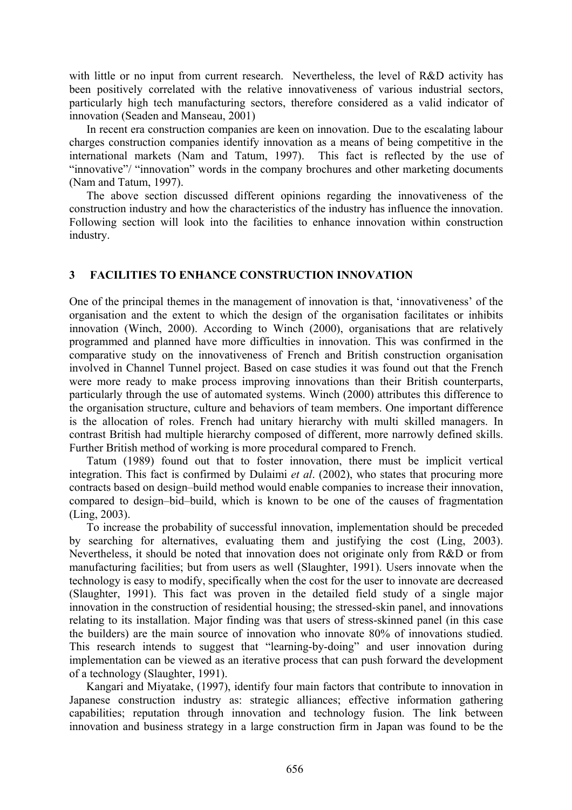with little or no input from current research. Nevertheless, the level of R&D activity has been positively correlated with the relative innovativeness of various industrial sectors, particularly high tech manufacturing sectors, therefore considered as a valid indicator of innovation (Seaden and Manseau, 2001)

In recent era construction companies are keen on innovation. Due to the escalating labour charges construction companies identify innovation as a means of being competitive in the international markets (Nam and Tatum, 1997). This fact is reflected by the use of "innovative"/ "innovation" words in the company brochures and other marketing documents (Nam and Tatum, 1997).

The above section discussed different opinions regarding the innovativeness of the construction industry and how the characteristics of the industry has influence the innovation. Following section will look into the facilities to enhance innovation within construction industry.

# **3 FACILITIES TO ENHANCE CONSTRUCTION INNOVATION**

One of the principal themes in the management of innovation is that, 'innovativeness' of the organisation and the extent to which the design of the organisation facilitates or inhibits innovation (Winch, 2000). According to Winch (2000), organisations that are relatively programmed and planned have more difficulties in innovation. This was confirmed in the comparative study on the innovativeness of French and British construction organisation involved in Channel Tunnel project. Based on case studies it was found out that the French were more ready to make process improving innovations than their British counterparts, particularly through the use of automated systems. Winch (2000) attributes this difference to the organisation structure, culture and behaviors of team members. One important difference is the allocation of roles. French had unitary hierarchy with multi skilled managers. In contrast British had multiple hierarchy composed of different, more narrowly defined skills. Further British method of working is more procedural compared to French.

Tatum (1989) found out that to foster innovation, there must be implicit vertical integration. This fact is confirmed by Dulaimi *et al*. (2002), who states that procuring more contracts based on design–build method would enable companies to increase their innovation, compared to design–bid–build, which is known to be one of the causes of fragmentation (Ling, 2003).

To increase the probability of successful innovation, implementation should be preceded by searching for alternatives, evaluating them and justifying the cost (Ling, 2003). Nevertheless, it should be noted that innovation does not originate only from R&D or from manufacturing facilities; but from users as well (Slaughter, 1991). Users innovate when the technology is easy to modify, specifically when the cost for the user to innovate are decreased (Slaughter, 1991). This fact was proven in the detailed field study of a single major innovation in the construction of residential housing; the stressed-skin panel, and innovations relating to its installation. Major finding was that users of stress-skinned panel (in this case the builders) are the main source of innovation who innovate 80% of innovations studied. This research intends to suggest that "learning-by-doing" and user innovation during implementation can be viewed as an iterative process that can push forward the development of a technology (Slaughter, 1991).

Kangari and Miyatake, (1997), identify four main factors that contribute to innovation in Japanese construction industry as: strategic alliances; effective information gathering capabilities; reputation through innovation and technology fusion. The link between innovation and business strategy in a large construction firm in Japan was found to be the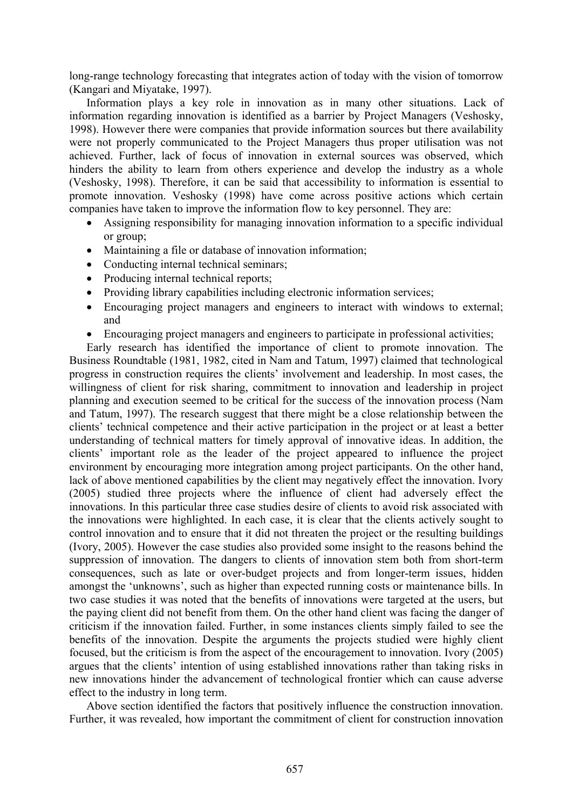long-range technology forecasting that integrates action of today with the vision of tomorrow (Kangari and Miyatake, 1997).

Information plays a key role in innovation as in many other situations. Lack of information regarding innovation is identified as a barrier by Project Managers (Veshosky, 1998). However there were companies that provide information sources but there availability were not properly communicated to the Project Managers thus proper utilisation was not achieved. Further, lack of focus of innovation in external sources was observed, which hinders the ability to learn from others experience and develop the industry as a whole (Veshosky, 1998). Therefore, it can be said that accessibility to information is essential to promote innovation. Veshosky (1998) have come across positive actions which certain companies have taken to improve the information flow to key personnel. They are:

- Assigning responsibility for managing innovation information to a specific individual or group;
- Maintaining a file or database of innovation information:
- Conducting internal technical seminars;
- Producing internal technical reports;
- Providing library capabilities including electronic information services;
- Encouraging project managers and engineers to interact with windows to external; and
- Encouraging project managers and engineers to participate in professional activities;

Early research has identified the importance of client to promote innovation. The Business Roundtable (1981, 1982, cited in Nam and Tatum, 1997) claimed that technological progress in construction requires the clients' involvement and leadership. In most cases, the willingness of client for risk sharing, commitment to innovation and leadership in project planning and execution seemed to be critical for the success of the innovation process (Nam and Tatum, 1997). The research suggest that there might be a close relationship between the clients' technical competence and their active participation in the project or at least a better understanding of technical matters for timely approval of innovative ideas. In addition, the clients' important role as the leader of the project appeared to influence the project environment by encouraging more integration among project participants. On the other hand, lack of above mentioned capabilities by the client may negatively effect the innovation. Ivory (2005) studied three projects where the influence of client had adversely effect the innovations. In this particular three case studies desire of clients to avoid risk associated with the innovations were highlighted. In each case, it is clear that the clients actively sought to control innovation and to ensure that it did not threaten the project or the resulting buildings (Ivory, 2005). However the case studies also provided some insight to the reasons behind the suppression of innovation. The dangers to clients of innovation stem both from short-term consequences, such as late or over-budget projects and from longer-term issues, hidden amongst the 'unknowns', such as higher than expected running costs or maintenance bills. In two case studies it was noted that the benefits of innovations were targeted at the users, but the paying client did not benefit from them. On the other hand client was facing the danger of criticism if the innovation failed. Further, in some instances clients simply failed to see the benefits of the innovation. Despite the arguments the projects studied were highly client focused, but the criticism is from the aspect of the encouragement to innovation. Ivory (2005) argues that the clients' intention of using established innovations rather than taking risks in new innovations hinder the advancement of technological frontier which can cause adverse effect to the industry in long term.

Above section identified the factors that positively influence the construction innovation. Further, it was revealed, how important the commitment of client for construction innovation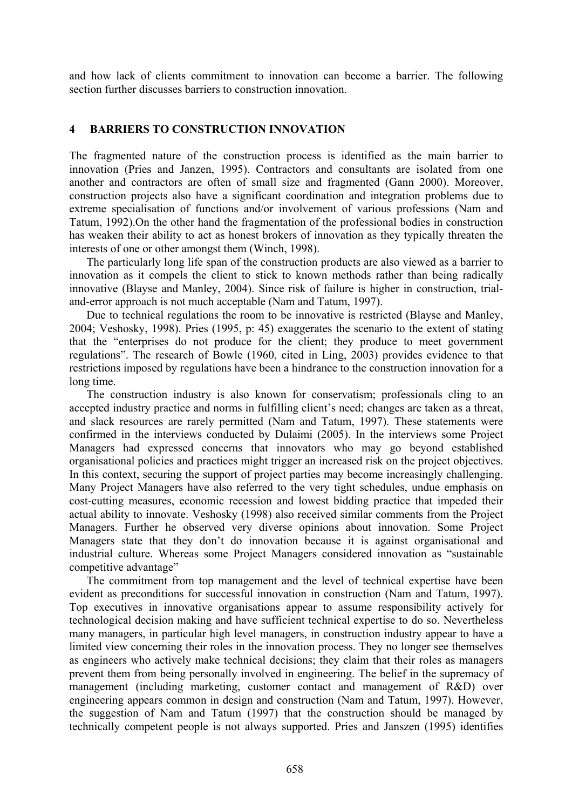and how lack of clients commitment to innovation can become a barrier. The following section further discusses barriers to construction innovation.

#### **4 BARRIERS TO CONSTRUCTION INNOVATION**

The fragmented nature of the construction process is identified as the main barrier to innovation (Pries and Janzen, 1995). Contractors and consultants are isolated from one another and contractors are often of small size and fragmented (Gann 2000). Moreover, construction projects also have a significant coordination and integration problems due to extreme specialisation of functions and/or involvement of various professions (Nam and Tatum, 1992).On the other hand the fragmentation of the professional bodies in construction has weaken their ability to act as honest brokers of innovation as they typically threaten the interests of one or other amongst them (Winch, 1998).

The particularly long life span of the construction products are also viewed as a barrier to innovation as it compels the client to stick to known methods rather than being radically innovative (Blayse and Manley, 2004). Since risk of failure is higher in construction, trialand-error approach is not much acceptable (Nam and Tatum, 1997).

Due to technical regulations the room to be innovative is restricted (Blayse and Manley, 2004; Veshosky, 1998). Pries (1995, p: 45) exaggerates the scenario to the extent of stating that the "enterprises do not produce for the client; they produce to meet government regulations". The research of Bowle (1960, cited in Ling, 2003) provides evidence to that restrictions imposed by regulations have been a hindrance to the construction innovation for a long time.

The construction industry is also known for conservatism; professionals cling to an accepted industry practice and norms in fulfilling client's need; changes are taken as a threat, and slack resources are rarely permitted (Nam and Tatum, 1997). These statements were confirmed in the interviews conducted by Dulaimi (2005). In the interviews some Project Managers had expressed concerns that innovators who may go beyond established organisational policies and practices might trigger an increased risk on the project objectives. In this context, securing the support of project parties may become increasingly challenging. Many Project Managers have also referred to the very tight schedules, undue emphasis on cost-cutting measures, economic recession and lowest bidding practice that impeded their actual ability to innovate. Veshosky (1998) also received similar comments from the Project Managers. Further he observed very diverse opinions about innovation. Some Project Managers state that they don't do innovation because it is against organisational and industrial culture. Whereas some Project Managers considered innovation as "sustainable competitive advantage"

The commitment from top management and the level of technical expertise have been evident as preconditions for successful innovation in construction (Nam and Tatum, 1997). Top executives in innovative organisations appear to assume responsibility actively for technological decision making and have sufficient technical expertise to do so. Nevertheless many managers, in particular high level managers, in construction industry appear to have a limited view concerning their roles in the innovation process. They no longer see themselves as engineers who actively make technical decisions; they claim that their roles as managers prevent them from being personally involved in engineering. The belief in the supremacy of management (including marketing, customer contact and management of R&D) over engineering appears common in design and construction (Nam and Tatum, 1997). However, the suggestion of Nam and Tatum (1997) that the construction should be managed by technically competent people is not always supported. Pries and Janszen (1995) identifies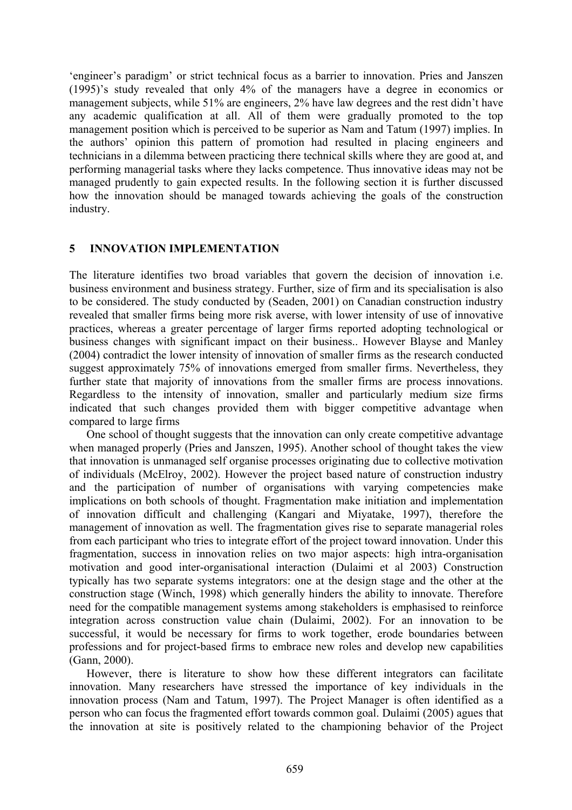'engineer's paradigm' or strict technical focus as a barrier to innovation. Pries and Janszen (1995)'s study revealed that only 4% of the managers have a degree in economics or management subjects, while 51% are engineers, 2% have law degrees and the rest didn't have any academic qualification at all. All of them were gradually promoted to the top management position which is perceived to be superior as Nam and Tatum (1997) implies. In the authors' opinion this pattern of promotion had resulted in placing engineers and technicians in a dilemma between practicing there technical skills where they are good at, and performing managerial tasks where they lacks competence. Thus innovative ideas may not be managed prudently to gain expected results. In the following section it is further discussed how the innovation should be managed towards achieving the goals of the construction industry.

# **5 INNOVATION IMPLEMENTATION**

The literature identifies two broad variables that govern the decision of innovation i.e. business environment and business strategy. Further, size of firm and its specialisation is also to be considered. The study conducted by (Seaden, 2001) on Canadian construction industry revealed that smaller firms being more risk averse, with lower intensity of use of innovative practices, whereas a greater percentage of larger firms reported adopting technological or business changes with significant impact on their business.. However Blayse and Manley (2004) contradict the lower intensity of innovation of smaller firms as the research conducted suggest approximately 75% of innovations emerged from smaller firms. Nevertheless, they further state that majority of innovations from the smaller firms are process innovations. Regardless to the intensity of innovation, smaller and particularly medium size firms indicated that such changes provided them with bigger competitive advantage when compared to large firms

One school of thought suggests that the innovation can only create competitive advantage when managed properly (Pries and Janszen, 1995). Another school of thought takes the view that innovation is unmanaged self organise processes originating due to collective motivation of individuals (McElroy, 2002). However the project based nature of construction industry and the participation of number of organisations with varying competencies make implications on both schools of thought. Fragmentation make initiation and implementation of innovation difficult and challenging (Kangari and Miyatake, 1997), therefore the management of innovation as well. The fragmentation gives rise to separate managerial roles from each participant who tries to integrate effort of the project toward innovation. Under this fragmentation, success in innovation relies on two major aspects: high intra-organisation motivation and good inter-organisational interaction (Dulaimi et al 2003) Construction typically has two separate systems integrators: one at the design stage and the other at the construction stage (Winch, 1998) which generally hinders the ability to innovate. Therefore need for the compatible management systems among stakeholders is emphasised to reinforce integration across construction value chain (Dulaimi, 2002). For an innovation to be successful, it would be necessary for firms to work together, erode boundaries between professions and for project-based firms to embrace new roles and develop new capabilities (Gann, 2000).

However, there is literature to show how these different integrators can facilitate innovation. Many researchers have stressed the importance of key individuals in the innovation process (Nam and Tatum, 1997). The Project Manager is often identified as a person who can focus the fragmented effort towards common goal. Dulaimi (2005) agues that the innovation at site is positively related to the championing behavior of the Project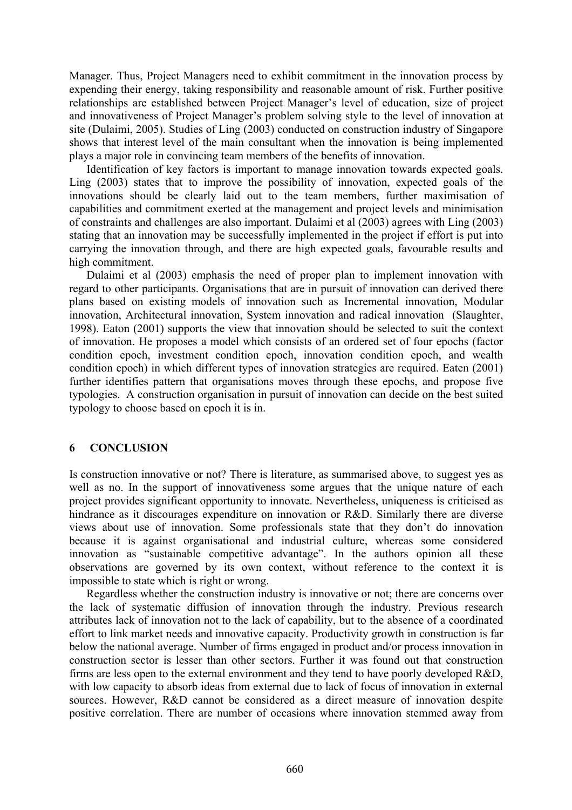Manager. Thus, Project Managers need to exhibit commitment in the innovation process by expending their energy, taking responsibility and reasonable amount of risk. Further positive relationships are established between Project Manager's level of education, size of project and innovativeness of Project Manager's problem solving style to the level of innovation at site (Dulaimi, 2005). Studies of Ling (2003) conducted on construction industry of Singapore shows that interest level of the main consultant when the innovation is being implemented plays a major role in convincing team members of the benefits of innovation.

Identification of key factors is important to manage innovation towards expected goals. Ling (2003) states that to improve the possibility of innovation, expected goals of the innovations should be clearly laid out to the team members, further maximisation of capabilities and commitment exerted at the management and project levels and minimisation of constraints and challenges are also important. Dulaimi et al (2003) agrees with Ling (2003) stating that an innovation may be successfully implemented in the project if effort is put into carrying the innovation through, and there are high expected goals, favourable results and high commitment.

Dulaimi et al (2003) emphasis the need of proper plan to implement innovation with regard to other participants. Organisations that are in pursuit of innovation can derived there plans based on existing models of innovation such as Incremental innovation, Modular innovation, Architectural innovation, System innovation and radical innovation (Slaughter, 1998). Eaton (2001) supports the view that innovation should be selected to suit the context of innovation. He proposes a model which consists of an ordered set of four epochs (factor condition epoch, investment condition epoch, innovation condition epoch, and wealth condition epoch) in which different types of innovation strategies are required. Eaten (2001) further identifies pattern that organisations moves through these epochs, and propose five typologies. A construction organisation in pursuit of innovation can decide on the best suited typology to choose based on epoch it is in.

# **6 CONCLUSION**

Is construction innovative or not? There is literature, as summarised above, to suggest yes as well as no. In the support of innovativeness some argues that the unique nature of each project provides significant opportunity to innovate. Nevertheless, uniqueness is criticised as hindrance as it discourages expenditure on innovation or R&D. Similarly there are diverse views about use of innovation. Some professionals state that they don't do innovation because it is against organisational and industrial culture, whereas some considered innovation as "sustainable competitive advantage". In the authors opinion all these observations are governed by its own context, without reference to the context it is impossible to state which is right or wrong.

Regardless whether the construction industry is innovative or not; there are concerns over the lack of systematic diffusion of innovation through the industry. Previous research attributes lack of innovation not to the lack of capability, but to the absence of a coordinated effort to link market needs and innovative capacity. Productivity growth in construction is far below the national average. Number of firms engaged in product and/or process innovation in construction sector is lesser than other sectors. Further it was found out that construction firms are less open to the external environment and they tend to have poorly developed R&D, with low capacity to absorb ideas from external due to lack of focus of innovation in external sources. However, R&D cannot be considered as a direct measure of innovation despite positive correlation. There are number of occasions where innovation stemmed away from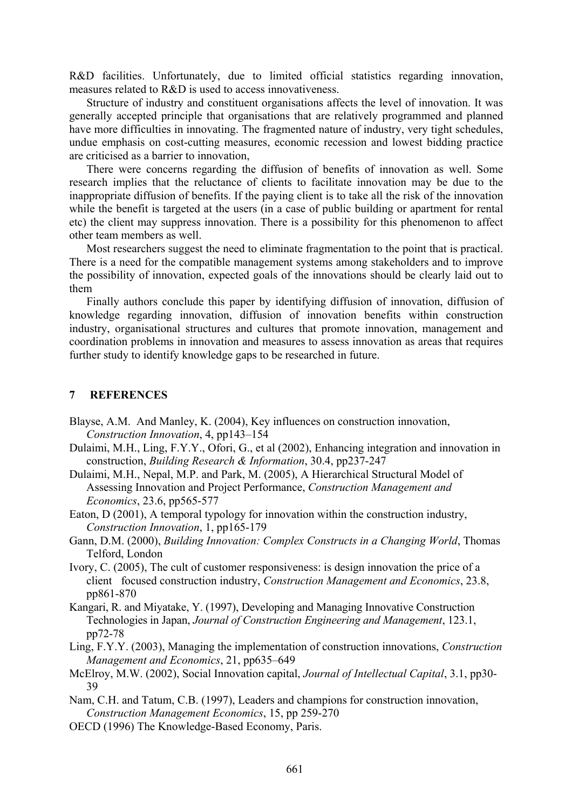R&D facilities. Unfortunately, due to limited official statistics regarding innovation, measures related to R&D is used to access innovativeness.

Structure of industry and constituent organisations affects the level of innovation. It was generally accepted principle that organisations that are relatively programmed and planned have more difficulties in innovating. The fragmented nature of industry, very tight schedules, undue emphasis on cost-cutting measures, economic recession and lowest bidding practice are criticised as a barrier to innovation,

There were concerns regarding the diffusion of benefits of innovation as well. Some research implies that the reluctance of clients to facilitate innovation may be due to the inappropriate diffusion of benefits. If the paying client is to take all the risk of the innovation while the benefit is targeted at the users (in a case of public building or apartment for rental etc) the client may suppress innovation. There is a possibility for this phenomenon to affect other team members as well.

Most researchers suggest the need to eliminate fragmentation to the point that is practical. There is a need for the compatible management systems among stakeholders and to improve the possibility of innovation, expected goals of the innovations should be clearly laid out to them

Finally authors conclude this paper by identifying diffusion of innovation, diffusion of knowledge regarding innovation, diffusion of innovation benefits within construction industry, organisational structures and cultures that promote innovation, management and coordination problems in innovation and measures to assess innovation as areas that requires further study to identify knowledge gaps to be researched in future.

# **7 REFERENCES**

- Blayse, A.M. And Manley, K. (2004), Key influences on construction innovation, *Construction Innovation*, 4, pp143–154
- Dulaimi, M.H., Ling, F.Y.Y., Ofori, G., et al (2002), Enhancing integration and innovation in construction, *Building Research & Information*, 30.4, pp237-247
- Dulaimi, M.H., Nepal, M.P. and Park, M. (2005), A Hierarchical Structural Model of Assessing Innovation and Project Performance, *Construction Management and Economics*, 23.6, pp565-577
- Eaton, D (2001), A temporal typology for innovation within the construction industry, *Construction Innovation*, 1, pp165-179
- Gann, D.M. (2000), *Building Innovation: Complex Constructs in a Changing World*, Thomas Telford, London
- Ivory, C. (2005), The cult of customer responsiveness: is design innovation the price of a client focused construction industry, *Construction Management and Economics*, 23.8, pp861-870
- Kangari, R. and Miyatake, Y. (1997), Developing and Managing Innovative Construction Technologies in Japan, *Journal of Construction Engineering and Management*, 123.1, pp72-78
- Ling, F.Y.Y. (2003), Managing the implementation of construction innovations, *Construction Management and Economics*, 21, pp635–649
- McElroy, M.W. (2002), Social Innovation capital, *Journal of Intellectual Capital*, 3.1, pp30- 39
- Nam, C.H. and Tatum, C.B. (1997), Leaders and champions for construction innovation, *Construction Management Economics*, 15, pp 259-270
- OECD (1996) The Knowledge-Based Economy, Paris.